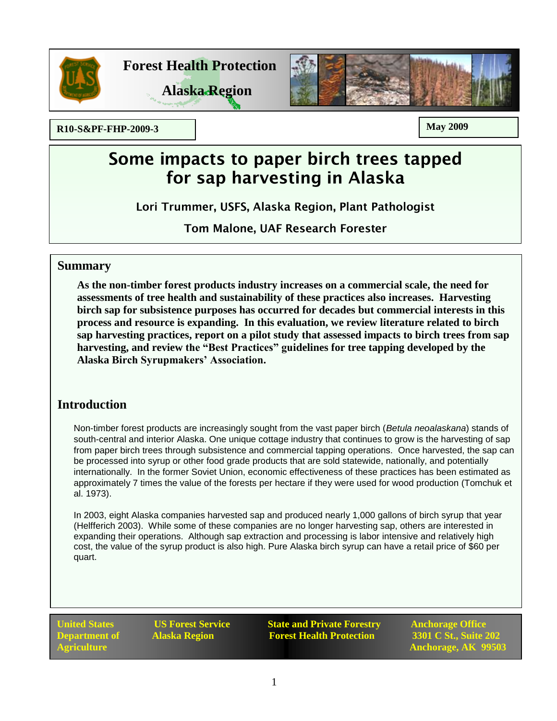

**Forest Health Protection**





**R10-S&PF-FHP-2009-3 May 2009**

# Some impacts to paper birch trees tapped for sap harvesting in Alaska

Lori Trummer, USFS, Alaska Region, Plant Pathologist

**Tom Malone, UAF Research Forester** 

### **Summary**

**As the non-timber forest products industry increases on a commercial scale, the need for assessments of tree health and sustainability of these practices also increases. Harvesting birch sap for subsistence purposes has occurred for decades but commercial interests in this process and resource is expanding. In this evaluation, we review literature related to birch sap harvesting practices, report on a pilot study that assessed impacts to birch trees from sap harvesting, and review the "Best Practices" guidelines for tree tapping developed by the Alaska Birch Syrupmakers' Association.** 

# **Introduction**

Non-timber forest products are increasingly sought from the vast paper birch (*Betula neoalaskana*) stands of south-central and interior Alaska. One unique cottage industry that continues to grow is the harvesting of sap from paper birch trees through subsistence and commercial tapping operations. Once harvested, the sap can be processed into syrup or other food grade products that are sold statewide, nationally, and potentially internationally. In the former Soviet Union, economic effectiveness of these practices has been estimated as approximately 7 times the value of the forests per hectare if they were used for wood production (Tomchuk et al. 1973).

In 2003, eight Alaska companies harvested sap and produced nearly 1,000 gallons of birch syrup that year (Helfferich 2003). While some of these companies are no longer harvesting sap, others are interested in expanding their operations. Although sap extraction and processing is labor intensive and relatively high cost, the value of the syrup product is also high. Pure Alaska birch syrup can have a retail price of \$60 per quart.

**United States COS Forest Service State and Private Forestry Anchorage Office Department of Alaska Region Forest Health Protection 3301 C St., Suite 202** 

**Agriculture Anchorage, AK 99503**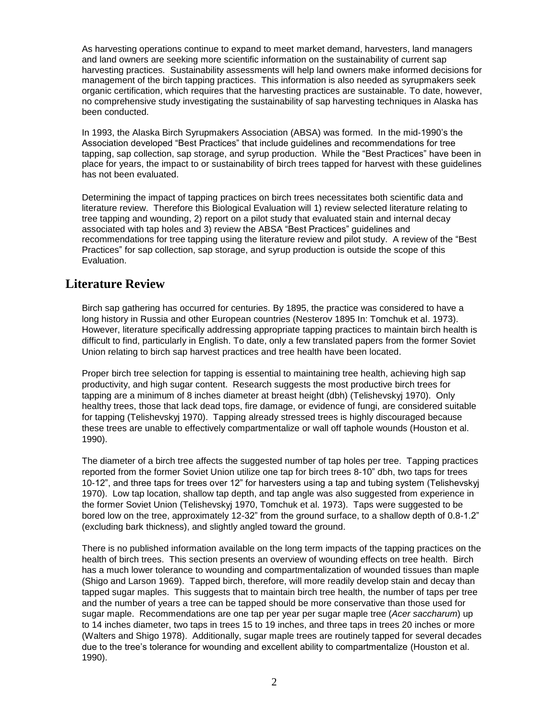As harvesting operations continue to expand to meet market demand, harvesters, land managers and land owners are seeking more scientific information on the sustainability of current sap harvesting practices. Sustainability assessments will help land owners make informed decisions for management of the birch tapping practices. This information is also needed as syrupmakers seek organic certification, which requires that the harvesting practices are sustainable. To date, however, no comprehensive study investigating the sustainability of sap harvesting techniques in Alaska has been conducted.

In 1993, the Alaska Birch Syrupmakers Association (ABSA) was formed. In the mid-1990's the Association developed "Best Practices" that include guidelines and recommendations for tree tapping, sap collection, sap storage, and syrup production. While the "Best Practices" have been in place for years, the impact to or sustainability of birch trees tapped for harvest with these guidelines has not been evaluated.

Determining the impact of tapping practices on birch trees necessitates both scientific data and literature review. Therefore this Biological Evaluation will 1) review selected literature relating to tree tapping and wounding, 2) report on a pilot study that evaluated stain and internal decay associated with tap holes and 3) review the ABSA "Best Practices" guidelines and recommendations for tree tapping using the literature review and pilot study. A review of the "Best Practices" for sap collection, sap storage, and syrup production is outside the scope of this Evaluation.

## **Literature Review**

Birch sap gathering has occurred for centuries. By 1895, the practice was considered to have a long history in Russia and other European countries (Nesterov 1895 In: Tomchuk et al. 1973). However, literature specifically addressing appropriate tapping practices to maintain birch health is difficult to find, particularly in English. To date, only a few translated papers from the former Soviet Union relating to birch sap harvest practices and tree health have been located.

Proper birch tree selection for tapping is essential to maintaining tree health, achieving high sap productivity, and high sugar content. Research suggests the most productive birch trees for tapping are a minimum of 8 inches diameter at breast height (dbh) (Telishevskyj 1970). Only healthy trees, those that lack dead tops, fire damage, or evidence of fungi, are considered suitable for tapping (Telishevskyj 1970). Tapping already stressed trees is highly discouraged because these trees are unable to effectively compartmentalize or wall off taphole wounds (Houston et al. 1990).

The diameter of a birch tree affects the suggested number of tap holes per tree. Tapping practices reported from the former Soviet Union utilize one tap for birch trees 8-10" dbh, two taps for trees 10-12", and three taps for trees over 12" for harvesters using a tap and tubing system (Telishevskyj 1970). Low tap location, shallow tap depth, and tap angle was also suggested from experience in the former Soviet Union (Telishevskyj 1970, Tomchuk et al. 1973). Taps were suggested to be bored low on the tree, approximately 12-32" from the ground surface, to a shallow depth of 0.8-1.2" (excluding bark thickness), and slightly angled toward the ground.

There is no published information available on the long term impacts of the tapping practices on the health of birch trees. This section presents an overview of wounding effects on tree health. Birch has a much lower tolerance to wounding and compartmentalization of wounded tissues than maple (Shigo and Larson 1969). Tapped birch, therefore, will more readily develop stain and decay than tapped sugar maples. This suggests that to maintain birch tree health, the number of taps per tree and the number of years a tree can be tapped should be more conservative than those used for sugar maple. Recommendations are one tap per year per sugar maple tree (*Acer saccharum*) up to 14 inches diameter, two taps in trees 15 to 19 inches, and three taps in trees 20 inches or more (Walters and Shigo 1978). Additionally, sugar maple trees are routinely tapped for several decades due to the tree's tolerance for wounding and excellent ability to compartmentalize (Houston et al. 1990).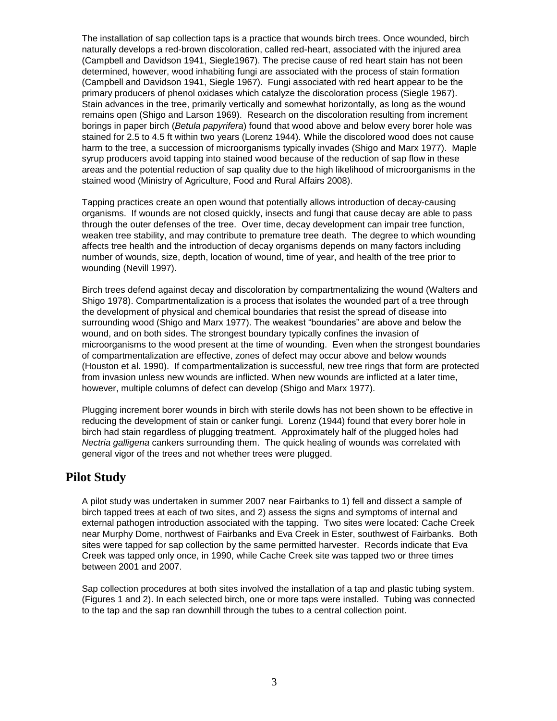The installation of sap collection taps is a practice that wounds birch trees. Once wounded, birch naturally develops a red-brown discoloration, called red-heart, associated with the injured area (Campbell and Davidson 1941, Siegle1967). The precise cause of red heart stain has not been determined, however, wood inhabiting fungi are associated with the process of stain formation (Campbell and Davidson 1941, Siegle 1967). Fungi associated with red heart appear to be the primary producers of phenol oxidases which catalyze the discoloration process (Siegle 1967). Stain advances in the tree, primarily vertically and somewhat horizontally, as long as the wound remains open (Shigo and Larson 1969). Research on the discoloration resulting from increment borings in paper birch (*Betula papyrifera*) found that wood above and below every borer hole was stained for 2.5 to 4.5 ft within two years (Lorenz 1944). While the discolored wood does not cause harm to the tree, a succession of microorganisms typically invades (Shigo and Marx 1977). Maple syrup producers avoid tapping into stained wood because of the reduction of sap flow in these areas and the potential reduction of sap quality due to the high likelihood of microorganisms in the stained wood (Ministry of Agriculture, Food and Rural Affairs 2008).

Tapping practices create an open wound that potentially allows introduction of decay-causing organisms. If wounds are not closed quickly, insects and fungi that cause decay are able to pass through the outer defenses of the tree. Over time, decay development can impair tree function, weaken tree stability, and may contribute to premature tree death. The degree to which wounding affects tree health and the introduction of decay organisms depends on many factors including number of wounds, size, depth, location of wound, time of year, and health of the tree prior to wounding (Nevill 1997).

Birch trees defend against decay and discoloration by compartmentalizing the wound (Walters and Shigo 1978). Compartmentalization is a process that isolates the wounded part of a tree through the development of physical and chemical boundaries that resist the spread of disease into surrounding wood (Shigo and Marx 1977). The weakest "boundaries" are above and below the wound, and on both sides. The strongest boundary typically confines the invasion of microorganisms to the wood present at the time of wounding. Even when the strongest boundaries of compartmentalization are effective, zones of defect may occur above and below wounds (Houston et al. 1990). If compartmentalization is successful, new tree rings that form are protected from invasion unless new wounds are inflicted. When new wounds are inflicted at a later time, however, multiple columns of defect can develop (Shigo and Marx 1977).

Plugging increment borer wounds in birch with sterile dowls has not been shown to be effective in reducing the development of stain or canker fungi. Lorenz (1944) found that every borer hole in birch had stain regardless of plugging treatment. Approximately half of the plugged holes had *Nectria galligena* cankers surrounding them. The quick healing of wounds was correlated with general vigor of the trees and not whether trees were plugged.

# **Pilot Study**

A pilot study was undertaken in summer 2007 near Fairbanks to 1) fell and dissect a sample of birch tapped trees at each of two sites, and 2) assess the signs and symptoms of internal and external pathogen introduction associated with the tapping. Two sites were located: Cache Creek near Murphy Dome, northwest of Fairbanks and Eva Creek in Ester, southwest of Fairbanks. Both sites were tapped for sap collection by the same permitted harvester. Records indicate that Eva Creek was tapped only once, in 1990, while Cache Creek site was tapped two or three times between 2001 and 2007.

Sap collection procedures at both sites involved the installation of a tap and plastic tubing system. (Figures 1 and 2). In each selected birch, one or more taps were installed. Tubing was connected to the tap and the sap ran downhill through the tubes to a central collection point.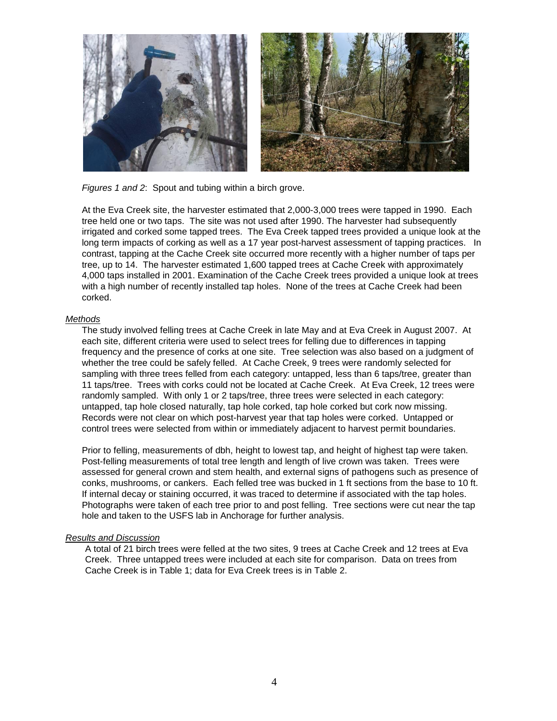

*Figures 1 and 2*: Spout and tubing within a birch grove.

At the Eva Creek site, the harvester estimated that 2,000-3,000 trees were tapped in 1990. Each tree held one or two taps. The site was not used after 1990. The harvester had subsequently irrigated and corked some tapped trees. The Eva Creek tapped trees provided a unique look at the long term impacts of corking as well as a 17 year post-harvest assessment of tapping practices. In contrast, tapping at the Cache Creek site occurred more recently with a higher number of taps per tree, up to 14. The harvester estimated 1,600 tapped trees at Cache Creek with approximately 4,000 taps installed in 2001. Examination of the Cache Creek trees provided a unique look at trees with a high number of recently installed tap holes. None of the trees at Cache Creek had been corked.

#### *Methods*

The study involved felling trees at Cache Creek in late May and at Eva Creek in August 2007. At each site, different criteria were used to select trees for felling due to differences in tapping frequency and the presence of corks at one site. Tree selection was also based on a judgment of whether the tree could be safely felled. At Cache Creek, 9 trees were randomly selected for sampling with three trees felled from each category: untapped, less than 6 taps/tree, greater than 11 taps/tree. Trees with corks could not be located at Cache Creek. At Eva Creek, 12 trees were randomly sampled. With only 1 or 2 taps/tree, three trees were selected in each category: untapped, tap hole closed naturally, tap hole corked, tap hole corked but cork now missing. Records were not clear on which post-harvest year that tap holes were corked. Untapped or control trees were selected from within or immediately adjacent to harvest permit boundaries.

Prior to felling, measurements of dbh, height to lowest tap, and height of highest tap were taken. Post-felling measurements of total tree length and length of live crown was taken. Trees were assessed for general crown and stem health, and external signs of pathogens such as presence of conks, mushrooms, or cankers. Each felled tree was bucked in 1 ft sections from the base to 10 ft. If internal decay or staining occurred, it was traced to determine if associated with the tap holes. Photographs were taken of each tree prior to and post felling. Tree sections were cut near the tap hole and taken to the USFS lab in Anchorage for further analysis.

#### *Results and Discussion*

A total of 21 birch trees were felled at the two sites, 9 trees at Cache Creek and 12 trees at Eva Creek. Three untapped trees were included at each site for comparison. Data on trees from Cache Creek is in Table 1; data for Eva Creek trees is in Table 2.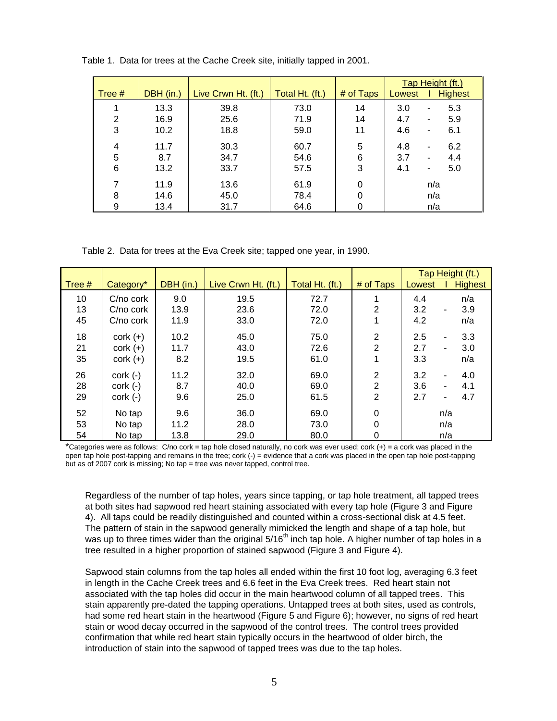|        |           |                     |                 |           | Tap Height (ft.) |                          |                |
|--------|-----------|---------------------|-----------------|-----------|------------------|--------------------------|----------------|
| Tree # | DBH (in.) | Live Crwn Ht. (ft.) | Total Ht. (ft.) | # of Taps | Lowest           |                          | <b>Highest</b> |
| 1      | 13.3      | 39.8                | 73.0            | 14        | 3.0              | $\overline{\phantom{a}}$ | 5.3            |
| 2      | 16.9      | 25.6                | 71.9            | 14        | 4.7              | ۰                        | 5.9            |
| 3      | 10.2      | 18.8                | 59.0            | 11        | 4.6              | $\overline{\phantom{a}}$ | 6.1            |
| 4      | 11.7      | 30.3                | 60.7            | 5         | 4.8              | $\overline{\phantom{a}}$ | 6.2            |
| 5      | 8.7       | 34.7                | 54.6            | 6         | 3.7              | ٠                        | 4.4            |
| 6      | 13.2      | 33.7                | 57.5            | 3         | 4.1              | $\overline{\phantom{a}}$ | 5.0            |
| 7      | 11.9      | 13.6                | 61.9            | 0         | n/a              |                          |                |
| 8      | 14.6      | 45.0                | 78.4            | 0         |                  | n/a                      |                |
| 9      | 13.4      | 31.7                | 64.6            |           | n/a              |                          |                |

Table 1. Data for trees at the Cache Creek site, initially tapped in 2001.

Table 2. Data for trees at the Eva Creek site; tapped one year, in 1990.

|          |               |           |                     |                 |                | Tap Height (ft.) |                |                |
|----------|---------------|-----------|---------------------|-----------------|----------------|------------------|----------------|----------------|
| Tree $#$ | Category*     | DBH (in.) | Live Crwn Ht. (ft.) | Total Ht. (ft.) | # of Taps      | Lowest           |                | <b>Highest</b> |
| 10       | C/no cork     | 9.0       | 19.5                | 72.7            |                | 4.4              |                | n/a            |
| 13       | C/no cork     | 13.9      | 23.6                | 72.0            | 2              | 3.2              | ٠              | 3.9            |
| 45       | C/no cork     | 11.9      | 33.0                | 72.0            |                | 4.2              |                | n/a            |
| 18       | $cork (+)$    | 10.2      | 45.0                | 75.0            | 2              | 2.5              | ۰              | 3.3            |
| 21       | $cork (+)$    | 11.7      | 43.0                | 72.6            | $\overline{2}$ | 2.7              | ۰.             | 3.0            |
| 35       | $\cot(k (+))$ | 8.2       | 19.5                | 61.0            |                | 3.3              |                | n/a            |
| 26       | $cork$ $(-)$  | 11.2      | 32.0                | 69.0            | 2              | 3.2              |                | 4.0            |
| 28       | $cork$ $(-)$  | 8.7       | 40.0                | 69.0            | 2              | 3.6              | $\blacksquare$ | 4.1            |
| 29       | $\cot(k (-))$ | 9.6       | 25.0                | 61.5            | 2              | 2.7              | ۰              | 4.7            |
| 52       | No tap        | 9.6       | 36.0                | 69.0            | 0              |                  | n/a            |                |
| 53       | No tap        | 11.2      | 28.0                | 73.0            | 0              |                  | n/a            |                |
| 54       | No tap        | 13.8      | 29.0                | 80.0            | 0              |                  | n/a            |                |

\*Categories were as follows: C/no cork = tap hole closed naturally, no cork was ever used; cork (+) = a cork was placed in the open tap hole post-tapping and remains in the tree; cork (-) = evidence that a cork was placed in the open tap hole post-tapping but as of 2007 cork is missing; No tap = tree was never tapped, control tree.

Regardless of the number of tap holes, years since tapping, or tap hole treatment, all tapped trees at both sites had sapwood red heart staining associated with every tap hole (Figure 3 and Figure 4). All taps could be readily distinguished and counted within a cross-sectional disk at 4.5 feet. The pattern of stain in the sapwood generally mimicked the length and shape of a tap hole, but was up to three times wider than the original  $5/16<sup>th</sup>$  inch tap hole. A higher number of tap holes in a tree resulted in a higher proportion of stained sapwood (Figure 3 and Figure 4).

Sapwood stain columns from the tap holes all ended within the first 10 foot log, averaging 6.3 feet in length in the Cache Creek trees and 6.6 feet in the Eva Creek trees. Red heart stain not associated with the tap holes did occur in the main heartwood column of all tapped trees. This stain apparently pre-dated the tapping operations. Untapped trees at both sites, used as controls, had some red heart stain in the heartwood (Figure 5 and Figure 6); however, no signs of red heart stain or wood decay occurred in the sapwood of the control trees. The control trees provided confirmation that while red heart stain typically occurs in the heartwood of older birch, the introduction of stain into the sapwood of tapped trees was due to the tap holes.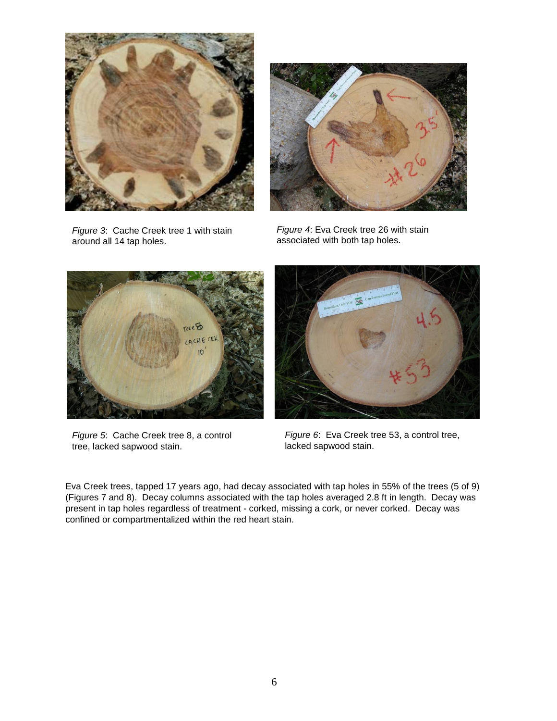

*Figure 3*: Cache Creek tree 1 with stain around all 14 tap holes.



*Figure 4*: Eva Creek tree 26 with stain associated with both tap holes.



*Figure 5*: Cache Creek tree 8, a control tree, lacked sapwood stain.



*Figure 6*: Eva Creek tree 53, a control tree, lacked sapwood stain.

Eva Creek trees, tapped 17 years ago, had decay associated with tap holes in 55% of the trees (5 of 9) (Figures 7 and 8). Decay columns associated with the tap holes averaged 2.8 ft in length. Decay was present in tap holes regardless of treatment - corked, missing a cork, or never corked. Decay was confined or compartmentalized within the red heart stain.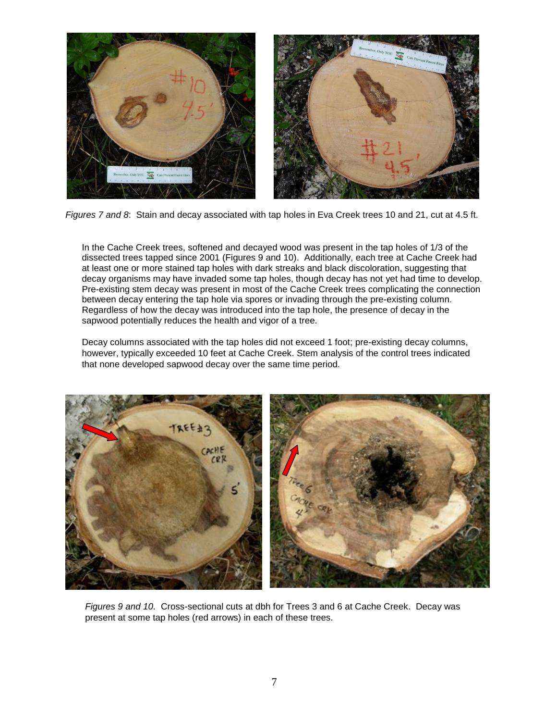

*Figures 7 and 8*: Stain and decay associated with tap holes in Eva Creek trees 10 and 21, cut at 4.5 ft.

In the Cache Creek trees, softened and decayed wood was present in the tap holes of 1/3 of the dissected trees tapped since 2001 (Figures 9 and 10). Additionally, each tree at Cache Creek had at least one or more stained tap holes with dark streaks and black discoloration, suggesting that decay organisms may have invaded some tap holes, though decay has not yet had time to develop. Pre-existing stem decay was present in most of the Cache Creek trees complicating the connection between decay entering the tap hole via spores or invading through the pre-existing column. Regardless of how the decay was introduced into the tap hole, the presence of decay in the sapwood potentially reduces the health and vigor of a tree.

Decay columns associated with the tap holes did not exceed 1 foot; pre-existing decay columns, however, typically exceeded 10 feet at Cache Creek. Stem analysis of the control trees indicated that none developed sapwood decay over the same time period.



*Figures 9 and 10.* Cross-sectional cuts at dbh for Trees 3 and 6 at Cache Creek. Decay was present at some tap holes (red arrows) in each of these trees.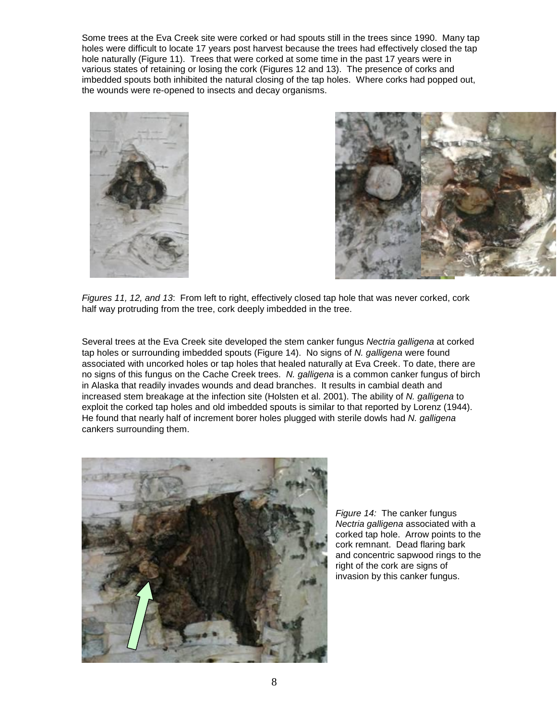Some trees at the Eva Creek site were corked or had spouts still in the trees since 1990. Many tap holes were difficult to locate 17 years post harvest because the trees had effectively closed the tap hole naturally (Figure 11). Trees that were corked at some time in the past 17 years were in various states of retaining or losing the cork (Figures 12 and 13). The presence of corks and imbedded spouts both inhibited the natural closing of the tap holes. Where corks had popped out, the wounds were re-opened to insects and decay organisms.





*Figures 11, 12, and 13*: From left to right, effectively closed tap hole that was never corked, cork half way protruding from the tree, cork deeply imbedded in the tree.

Several trees at the Eva Creek site developed the stem canker fungus *Nectria galligena* at corked tap holes or surrounding imbedded spouts (Figure 14). No signs of *N. galligena* were found associated with uncorked holes or tap holes that healed naturally at Eva Creek. To date, there are no signs of this fungus on the Cache Creek trees. *N. galligena* is a common canker fungus of birch in Alaska that readily invades wounds and dead branches. It results in cambial death and increased stem breakage at the infection site (Holsten et al. 2001). The ability of *N. galligena* to exploit the corked tap holes and old imbedded spouts is similar to that reported by Lorenz (1944). He found that nearly half of increment borer holes plugged with sterile dowls had *N. galligena*  cankers surrounding them.



*Figure 14:* The canker fungus *Nectria galligena* associated with a corked tap hole. Arrow points to the cork remnant. Dead flaring bark and concentric sapwood rings to the right of the cork are signs of invasion by this canker fungus.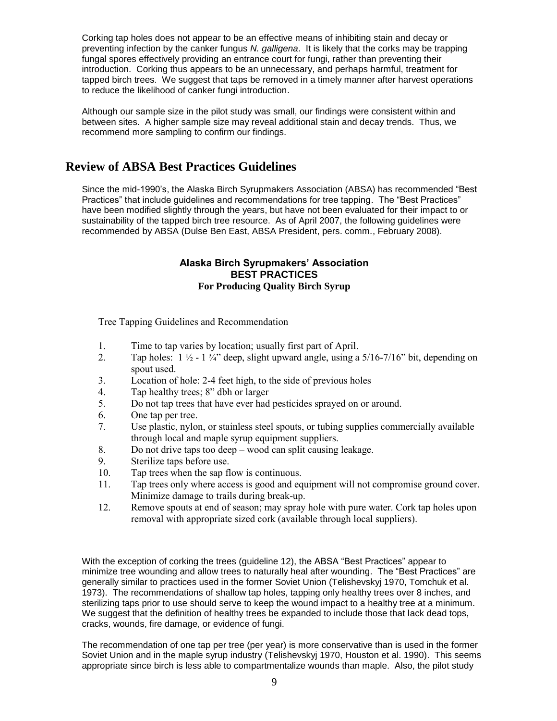Corking tap holes does not appear to be an effective means of inhibiting stain and decay or preventing infection by the canker fungus *N. galligena*. It is likely that the corks may be trapping fungal spores effectively providing an entrance court for fungi, rather than preventing their introduction. Corking thus appears to be an unnecessary, and perhaps harmful, treatment for tapped birch trees. We suggest that taps be removed in a timely manner after harvest operations to reduce the likelihood of canker fungi introduction.

Although our sample size in the pilot study was small, our findings were consistent within and between sites. A higher sample size may reveal additional stain and decay trends. Thus, we recommend more sampling to confirm our findings.

# **Review of ABSA Best Practices Guidelines**

Since the mid-1990's, the Alaska Birch Syrupmakers Association (ABSA) has recommended "Best Practices" that include guidelines and recommendations for tree tapping. The "Best Practices" have been modified slightly through the years, but have not been evaluated for their impact to or sustainability of the tapped birch tree resource. As of April 2007, the following guidelines were recommended by ABSA (Dulse Ben East, ABSA President, pers. comm., February 2008).

#### **Alaska Birch Syrupmakers' Association BEST PRACTICES For Producing Quality Birch Syrup**

Tree Tapping Guidelines and Recommendation

- 1. Time to tap varies by location; usually first part of April.
- 2. Tap holes:  $1 \frac{1}{2} 1 \frac{3}{4}$  deep, slight upward angle, using a  $5/16 7/16$  bit, depending on spout used.
- 3. Location of hole: 2-4 feet high, to the side of previous holes
- 4. Tap healthy trees; 8" dbh or larger
- 5. Do not tap trees that have ever had pesticides sprayed on or around.
- 6. One tap per tree.
- 7. Use plastic, nylon, or stainless steel spouts, or tubing supplies commercially available through local and maple syrup equipment suppliers.
- 8. Do not drive taps too deep wood can split causing leakage.<br>9. Sterilize taps before use.
- Sterilize taps before use.
- 10. Tap trees when the sap flow is continuous.
- 11. Tap trees only where access is good and equipment will not compromise ground cover. Minimize damage to trails during break-up.
- 12. Remove spouts at end of season; may spray hole with pure water. Cork tap holes upon removal with appropriate sized cork (available through local suppliers).

With the exception of corking the trees (guideline 12), the ABSA "Best Practices" appear to minimize tree wounding and allow trees to naturally heal after wounding. The "Best Practices" are generally similar to practices used in the former Soviet Union (Telishevskyj 1970, Tomchuk et al. 1973). The recommendations of shallow tap holes, tapping only healthy trees over 8 inches, and sterilizing taps prior to use should serve to keep the wound impact to a healthy tree at a minimum. We suggest that the definition of healthy trees be expanded to include those that lack dead tops, cracks, wounds, fire damage, or evidence of fungi.

The recommendation of one tap per tree (per year) is more conservative than is used in the former Soviet Union and in the maple syrup industry (Telishevskyj 1970, Houston et al. 1990). This seems appropriate since birch is less able to compartmentalize wounds than maple. Also, the pilot study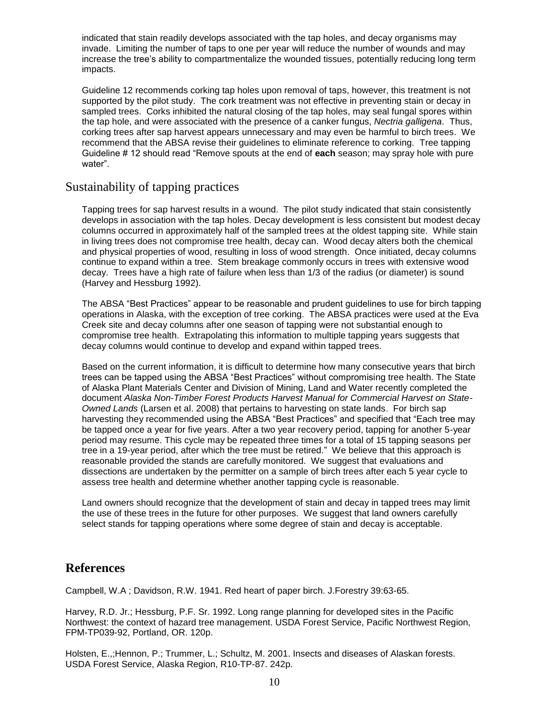indicated that stain readily develops associated with the tap holes, and decay organisms may invade. Limiting the number of taps to one per year will reduce the number of wounds and may increase the tree's ability to compartmentalize the wounded tissues, potentially reducing long term impacts.

Guideline 12 recommends corking tap holes upon removal of taps, however, this treatment is not supported by the pilot study. The cork treatment was not effective in preventing stain or decay in sampled trees. Corks inhibited the natural closing of the tap holes, may seal fungal spores within the tap hole, and were associated with the presence of a canker fungus, *Nectria galligena*. Thus, corking trees after sap harvest appears unnecessary and may even be harmful to birch trees. We recommend that the ABSA revise their guidelines to eliminate reference to corking. Tree tapping Guideline # 12 should read "Remove spouts at the end of **each** season; may spray hole with pure water".

### Sustainability of tapping practices

Tapping trees for sap harvest results in a wound. The pilot study indicated that stain consistently develops in association with the tap holes. Decay development is less consistent but modest decay columns occurred in approximately half of the sampled trees at the oldest tapping site. While stain in living trees does not compromise tree health, decay can. Wood decay alters both the chemical and physical properties of wood, resulting in loss of wood strength. Once initiated, decay columns continue to expand within a tree. Stem breakage commonly occurs in trees with extensive wood decay. Trees have a high rate of failure when less than 1/3 of the radius (or diameter) is sound (Harvey and Hessburg 1992).

The ABSA "Best Practices" appear to be reasonable and prudent guidelines to use for birch tapping operations in Alaska, with the exception of tree corking. The ABSA practices were used at the Eva Creek site and decay columns after one season of tapping were not substantial enough to compromise tree health. Extrapolating this information to multiple tapping years suggests that decay columns would continue to develop and expand within tapped trees.

Based on the current information, it is difficult to determine how many consecutive years that birch trees can be tapped using the ABSA "Best Practices" without compromising tree health. The State of Alaska Plant Materials Center and Division of Mining, Land and Water recently completed the document *Alaska Non-Timber Forest Products Harvest Manual for Commercial Harvest on State-Owned Lands* (Larsen et al. 2008) that pertains to harvesting on state lands. For birch sap harvesting they recommended using the ABSA "Best Practices" and specified that "Each tree may be tapped once a year for five years. After a two year recovery period, tapping for another 5-year period may resume. This cycle may be repeated three times for a total of 15 tapping seasons per tree in a 19-year period, after which the tree must be retired." We believe that this approach is reasonable provided the stands are carefully monitored. We suggest that evaluations and dissections are undertaken by the permitter on a sample of birch trees after each 5 year cycle to assess tree health and determine whether another tapping cycle is reasonable.

Land owners should recognize that the development of stain and decay in tapped trees may limit the use of these trees in the future for other purposes. We suggest that land owners carefully select stands for tapping operations where some degree of stain and decay is acceptable.

### **References**

Campbell, W.A ; Davidson, R.W. 1941. Red heart of paper birch. J.Forestry 39:63-65.

Harvey, R.D. Jr.; Hessburg, P.F. Sr. 1992. Long range planning for developed sites in the Pacific Northwest: the context of hazard tree management. USDA Forest Service, Pacific Northwest Region, FPM-TP039-92, Portland, OR. 120p.

Holsten, E.,;Hennon, P.; Trummer, L.; Schultz, M. 2001. Insects and diseases of Alaskan forests. USDA Forest Service, Alaska Region, R10-TP-87. 242p.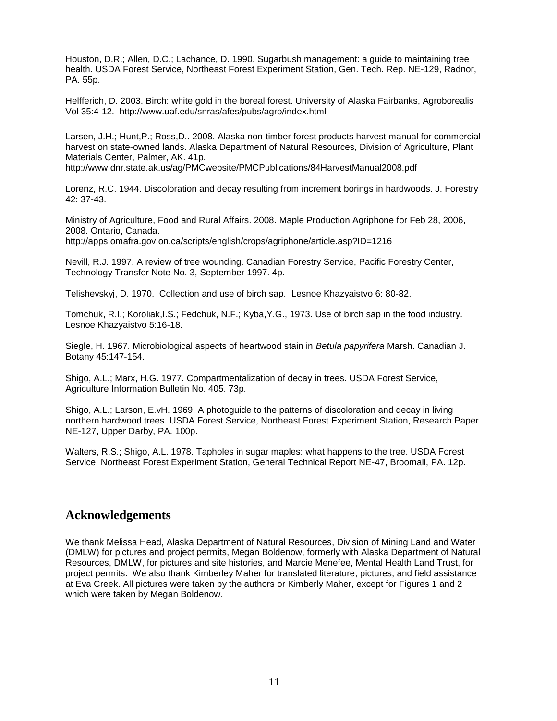Houston, D.R.; Allen, D.C.; Lachance, D. 1990. Sugarbush management: a guide to maintaining tree health. USDA Forest Service, Northeast Forest Experiment Station, Gen. Tech. Rep. NE-129, Radnor, PA. 55p.

Helfferich, D. 2003. Birch: white gold in the boreal forest. University of Alaska Fairbanks, Agroborealis Vol 35:4-12. http://www.uaf.edu/snras/afes/pubs/agro/index.html

Larsen, J.H.; Hunt,P.; Ross,D.. 2008. Alaska non-timber forest products harvest manual for commercial harvest on state-owned lands. Alaska Department of Natural Resources, Division of Agriculture, Plant Materials Center, Palmer, AK. 41p.

http://www.dnr.state.ak.us/ag/PMCwebsite/PMCPublications/84HarvestManual2008.pdf

Lorenz, R.C. 1944. Discoloration and decay resulting from increment borings in hardwoods. J. Forestry 42: 37-43.

Ministry of Agriculture, Food and Rural Affairs. 2008. Maple Production Agriphone for Feb 28, 2006, 2008. Ontario, Canada.

http://apps.omafra.gov.on.ca/scripts/english/crops/agriphone/article.asp?ID=1216

Nevill, R.J. 1997. A review of tree wounding. Canadian Forestry Service, Pacific Forestry Center, Technology Transfer Note No. 3, September 1997. 4p.

Telishevskyj, D. 1970. Collection and use of birch sap. Lesnoe Khazyaistvo 6: 80-82.

Tomchuk, R.I.; Koroliak,I.S.; Fedchuk, N.F.; Kyba,Y.G., 1973. Use of birch sap in the food industry. Lesnoe Khazyaistvo 5:16-18.

Siegle, H. 1967. Microbiological aspects of heartwood stain in *Betula papyrifera* Marsh. Canadian J. Botany 45:147-154.

Shigo, A.L.; Marx, H.G. 1977. Compartmentalization of decay in trees. USDA Forest Service, Agriculture Information Bulletin No. 405. 73p.

Shigo, A.L.; Larson, E.vH. 1969. A photoguide to the patterns of discoloration and decay in living northern hardwood trees. USDA Forest Service, Northeast Forest Experiment Station, Research Paper NE-127, Upper Darby, PA. 100p.

Walters, R.S.; Shigo, A.L. 1978. Tapholes in sugar maples: what happens to the tree. USDA Forest Service, Northeast Forest Experiment Station, General Technical Report NE-47, Broomall, PA. 12p.

### **Acknowledgements**

We thank Melissa Head, Alaska Department of Natural Resources, Division of Mining Land and Water (DMLW) for pictures and project permits, Megan Boldenow, formerly with Alaska Department of Natural Resources, DMLW, for pictures and site histories, and Marcie Menefee, Mental Health Land Trust, for project permits. We also thank Kimberley Maher for translated literature, pictures, and field assistance at Eva Creek. All pictures were taken by the authors or Kimberly Maher, except for Figures 1 and 2 which were taken by Megan Boldenow.